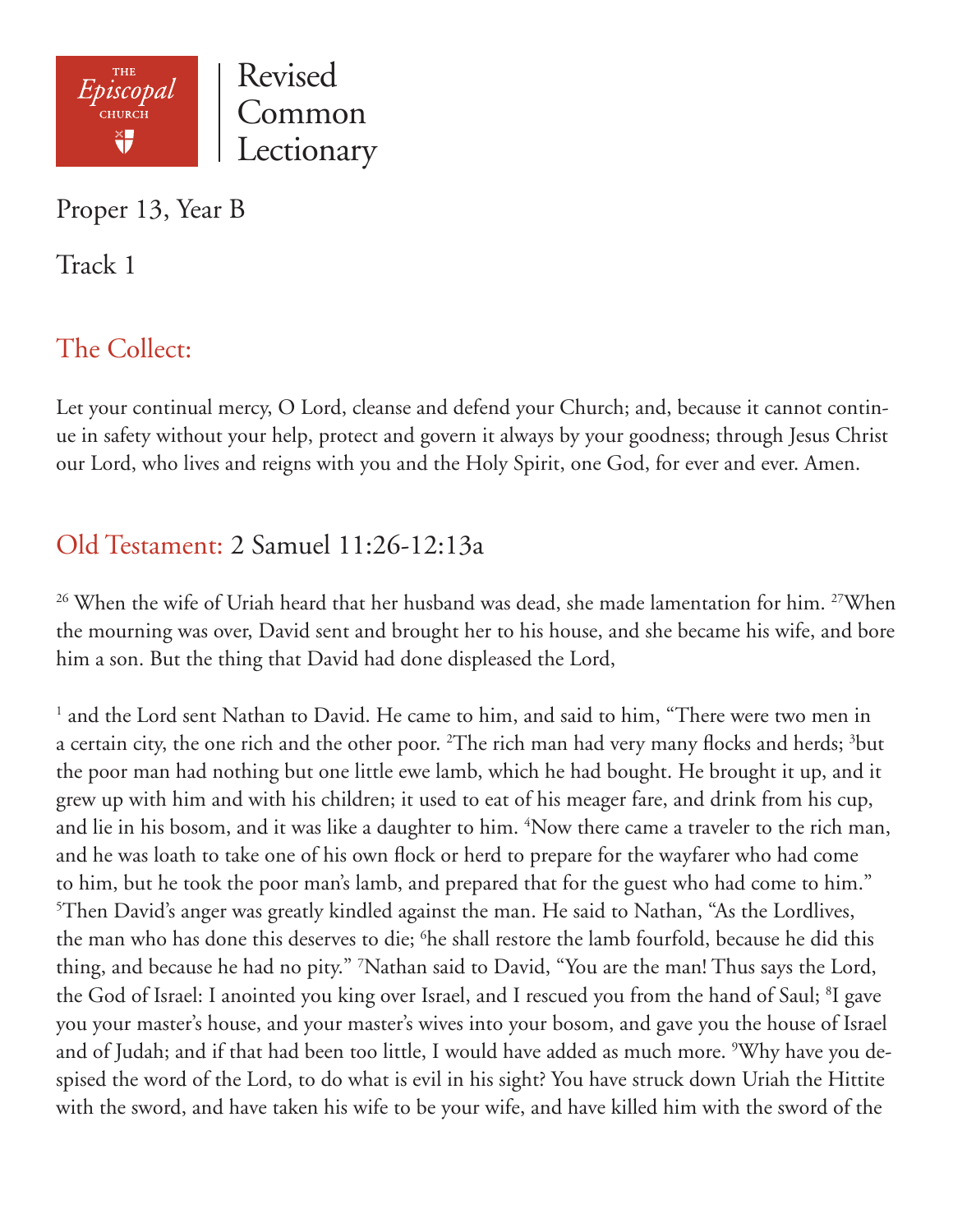

Proper 13, Year B

Track 1

# The Collect:

Let your continual mercy, O Lord, cleanse and defend your Church; and, because it cannot continue in safety without your help, protect and govern it always by your goodness; through Jesus Christ our Lord, who lives and reigns with you and the Holy Spirit, one God, for ever and ever. Amen.

# Old Testament: 2 Samuel 11:26-12:13a

<sup>26</sup> When the wife of Uriah heard that her husband was dead, she made lamentation for him. <sup>27</sup>When the mourning was over, David sent and brought her to his house, and she became his wife, and bore him a son. But the thing that David had done displeased the Lord,

<sup>1</sup> and the Lord sent Nathan to David. He came to him, and said to him, "There were two men in a certain city, the one rich and the other poor.  $^{2}$ The rich man had very many flocks and herds;  $^{3}$ but the poor man had nothing but one little ewe lamb, which he had bought. He brought it up, and it grew up with him and with his children; it used to eat of his meager fare, and drink from his cup, and lie in his bosom, and it was like a daughter to him. <sup>4</sup>Now there came a traveler to the rich man, and he was loath to take one of his own flock or herd to prepare for the wayfarer who had come to him, but he took the poor man's lamb, and prepared that for the guest who had come to him." 5 Then David's anger was greatly kindled against the man. He said to Nathan, "As the Lordlives, the man who has done this deserves to die; <sup>6</sup>he shall restore the lamb fourfold, because he did this thing, and because he had no pity." 7 Nathan said to David, "You are the man! Thus says the Lord, the God of Israel: I anointed you king over Israel, and I rescued you from the hand of Saul; <sup>8</sup>I gave you your master's house, and your master's wives into your bosom, and gave you the house of Israel and of Judah; and if that had been too little, I would have added as much more. <sup>9</sup>Why have you despised the word of the Lord, to do what is evil in his sight? You have struck down Uriah the Hittite with the sword, and have taken his wife to be your wife, and have killed him with the sword of the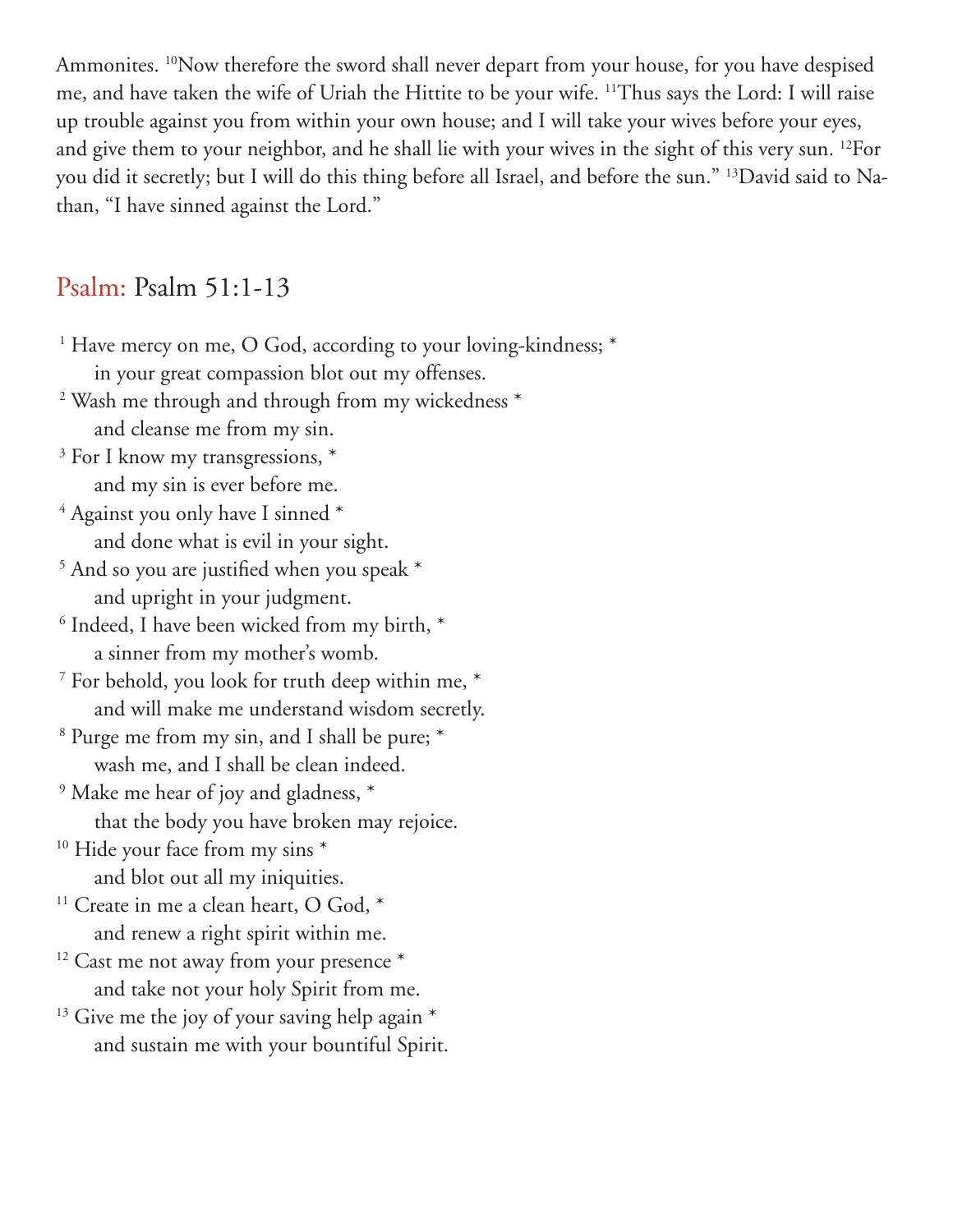Ammonites. <sup>10</sup>Now therefore the sword shall never depart from your house, for you have despised me, and have taken the wife of Uriah the Hittite to be your wife. 11Thus says the Lord: I will raise up trouble against you from within your own house; and I will take your wives before your eyes, and give them to your neighbor, and he shall lie with your wives in the sight of this very sun. 12For you did it secretly; but I will do this thing before all Israel, and before the sun." 13David said to Nathan, "I have sinned against the Lord."

#### Psalm: Psalm 51:1-13

<sup>1</sup> Have mercy on me, O God, according to your loving-kindness; \* in your great compassion blot out my offenses. 2 Wash me through and through from my wickedness \* and cleanse me from my sin. <sup>3</sup> For I know my transgressions, \* and my sin is ever before me. 4 Against you only have I sinned \* and done what is evil in your sight. <sup>5</sup> And so you are justified when you speak \* and upright in your judgment. <sup>6</sup> Indeed, I have been wicked from my birth,  $*$  a sinner from my mother's womb. <sup>7</sup> For behold, you look for truth deep within me,  $*$  and will make me understand wisdom secretly. 8 Purge me from my sin, and I shall be pure; \* wash me, and I shall be clean indeed. <sup>9</sup> Make me hear of joy and gladness,  $*$  that the body you have broken may rejoice. <sup>10</sup> Hide your face from my sins \* and blot out all my iniquities. <sup>11</sup> Create in me a clean heart, O God, \* and renew a right spirit within me.  $12$  Cast me not away from your presence  $*$  and take not your holy Spirit from me.  $13$  Give me the joy of your saving help again  $*$ and sustain me with your bountiful Spirit.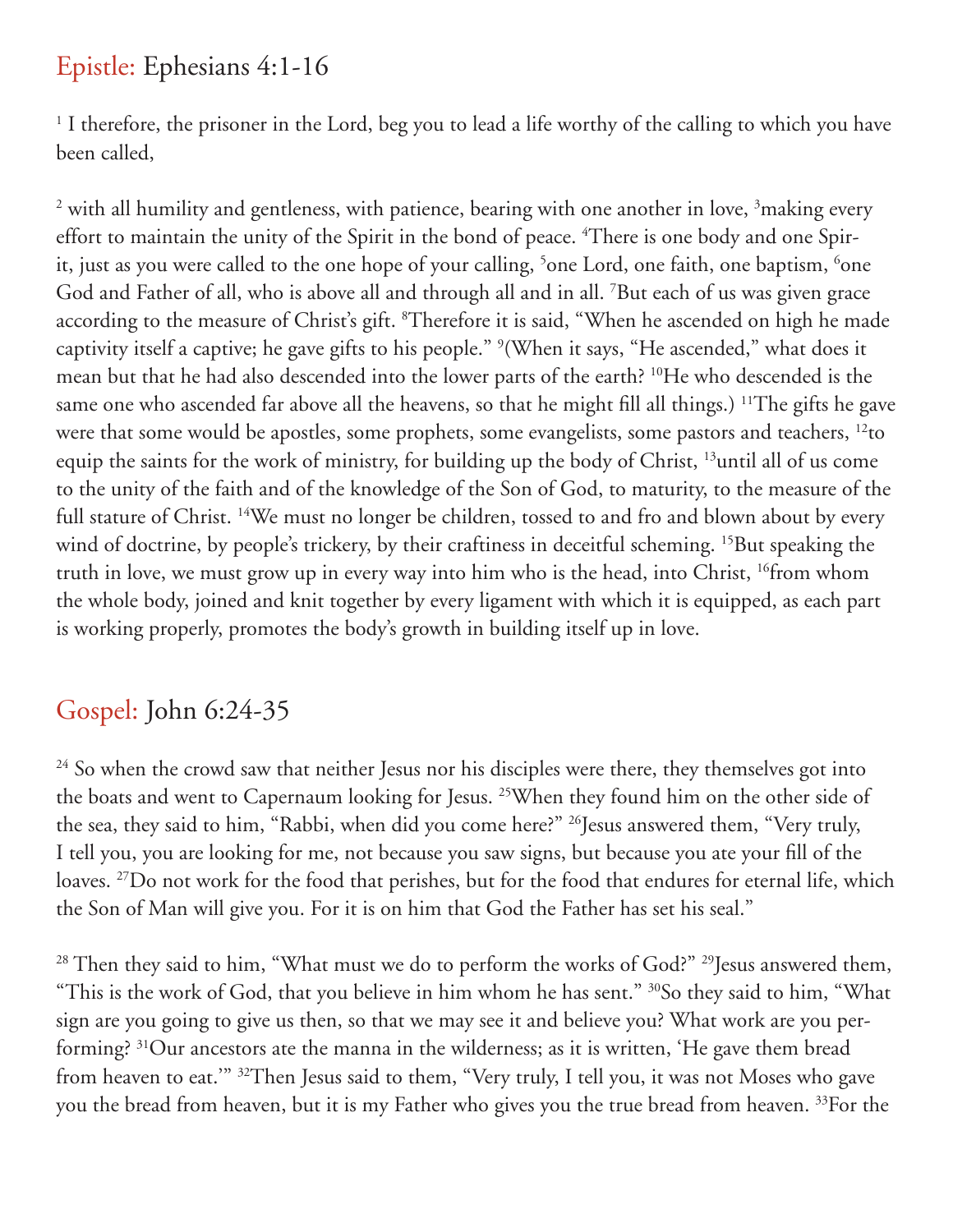## Epistle: Ephesians 4:1-16

<sup>1</sup> I therefore, the prisoner in the Lord, beg you to lead a life worthy of the calling to which you have been called,

<sup>2</sup> with all humility and gentleness, with patience, bearing with one another in love, <sup>3</sup>making every effort to maintain the unity of the Spirit in the bond of peace. <sup>4</sup>There is one body and one Spirit, just as you were called to the one hope of your calling, <sup>5</sup>one Lord, one faith, one baptism, <sup>6</sup>one God and Father of all, who is above all and through all and in all. 7 But each of us was given grace according to the measure of Christ's gift. <sup>8</sup>Therefore it is said, "When he ascended on high he made captivity itself a captive; he gave gifts to his people." 9 (When it says, "He ascended," what does it mean but that he had also descended into the lower parts of the earth? 10He who descended is the same one who ascended far above all the heavens, so that he might fill all things.) <sup>11</sup>The gifts he gave were that some would be apostles, some prophets, some evangelists, some pastors and teachers, <sup>12</sup>to equip the saints for the work of ministry, for building up the body of Christ, 13until all of us come to the unity of the faith and of the knowledge of the Son of God, to maturity, to the measure of the full stature of Christ. <sup>14</sup>We must no longer be children, tossed to and fro and blown about by every wind of doctrine, by people's trickery, by their craftiness in deceitful scheming. <sup>15</sup>But speaking the truth in love, we must grow up in every way into him who is the head, into Christ, 16from whom the whole body, joined and knit together by every ligament with which it is equipped, as each part is working properly, promotes the body's growth in building itself up in love.

## Gospel: John 6:24-35

<sup>24</sup> So when the crowd saw that neither Jesus nor his disciples were there, they themselves got into the boats and went to Capernaum looking for Jesus. 25When they found him on the other side of the sea, they said to him, "Rabbi, when did you come here?" <sup>26</sup>Jesus answered them, "Very truly, I tell you, you are looking for me, not because you saw signs, but because you ate your fill of the loaves. 27Do not work for the food that perishes, but for the food that endures for eternal life, which the Son of Man will give you. For it is on him that God the Father has set his seal."

<sup>28</sup> Then they said to him, "What must we do to perform the works of God?" <sup>29</sup>Jesus answered them, "This is the work of God, that you believe in him whom he has sent." 30So they said to him, "What sign are you going to give us then, so that we may see it and believe you? What work are you performing? 31Our ancestors ate the manna in the wilderness; as it is written, 'He gave them bread from heaven to eat.'" 32Then Jesus said to them, "Very truly, I tell you, it was not Moses who gave you the bread from heaven, but it is my Father who gives you the true bread from heaven. <sup>33</sup>For the